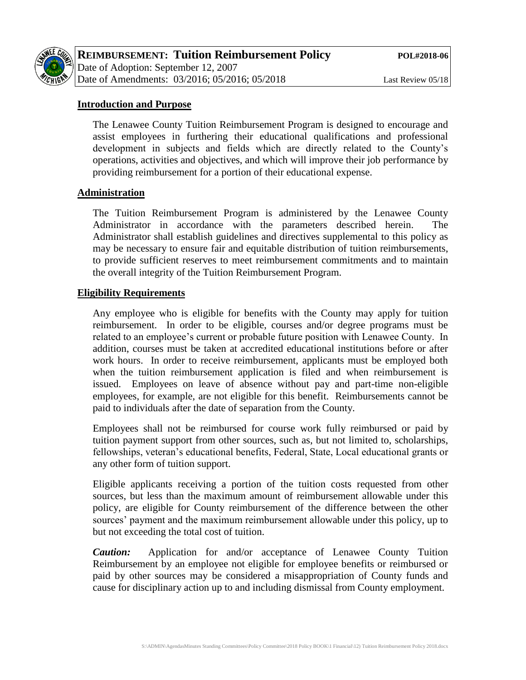

# **Introduction and Purpose**

The Lenawee County Tuition Reimbursement Program is designed to encourage and assist employees in furthering their educational qualifications and professional development in subjects and fields which are directly related to the County's operations, activities and objectives, and which will improve their job performance by providing reimbursement for a portion of their educational expense.

# **Administration**

The Tuition Reimbursement Program is administered by the Lenawee County Administrator in accordance with the parameters described herein. The Administrator shall establish guidelines and directives supplemental to this policy as may be necessary to ensure fair and equitable distribution of tuition reimbursements, to provide sufficient reserves to meet reimbursement commitments and to maintain the overall integrity of the Tuition Reimbursement Program.

# **Eligibility Requirements**

Any employee who is eligible for benefits with the County may apply for tuition reimbursement. In order to be eligible, courses and/or degree programs must be related to an employee's current or probable future position with Lenawee County. In addition, courses must be taken at accredited educational institutions before or after work hours. In order to receive reimbursement, applicants must be employed both when the tuition reimbursement application is filed and when reimbursement is issued. Employees on leave of absence without pay and part-time non-eligible employees, for example, are not eligible for this benefit. Reimbursements cannot be paid to individuals after the date of separation from the County.

Employees shall not be reimbursed for course work fully reimbursed or paid by tuition payment support from other sources, such as, but not limited to, scholarships, fellowships, veteran's educational benefits, Federal, State, Local educational grants or any other form of tuition support.

Eligible applicants receiving a portion of the tuition costs requested from other sources, but less than the maximum amount of reimbursement allowable under this policy, are eligible for County reimbursement of the difference between the other sources' payment and the maximum reimbursement allowable under this policy, up to but not exceeding the total cost of tuition.

*Caution:* Application for and/or acceptance of Lenawee County Tuition Reimbursement by an employee not eligible for employee benefits or reimbursed or paid by other sources may be considered a misappropriation of County funds and cause for disciplinary action up to and including dismissal from County employment.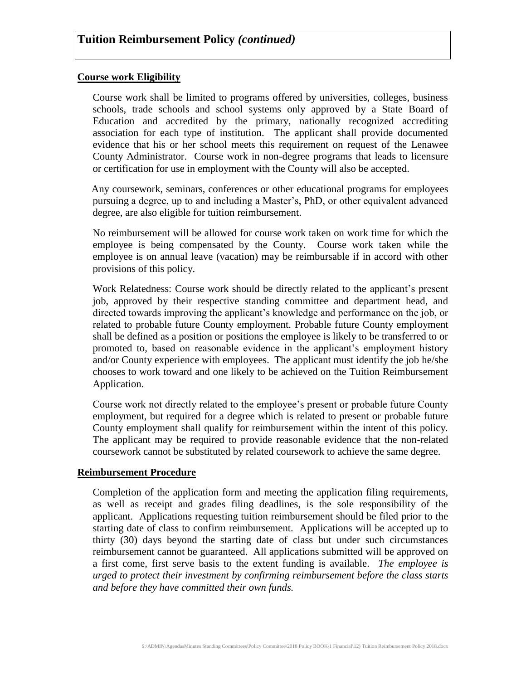#### **Course work Eligibility**

Course work shall be limited to programs offered by universities, colleges, business schools, trade schools and school systems only approved by a State Board of Education and accredited by the primary, nationally recognized accrediting association for each type of institution. The applicant shall provide documented evidence that his or her school meets this requirement on request of the Lenawee County Administrator. Course work in non-degree programs that leads to licensure or certification for use in employment with the County will also be accepted.

Any coursework, seminars, conferences or other educational programs for employees pursuing a degree, up to and including a Master's, PhD, or other equivalent advanced degree, are also eligible for tuition reimbursement.

No reimbursement will be allowed for course work taken on work time for which the employee is being compensated by the County. Course work taken while the employee is on annual leave (vacation) may be reimbursable if in accord with other provisions of this policy.

Work Relatedness: Course work should be directly related to the applicant's present job, approved by their respective standing committee and department head, and directed towards improving the applicant's knowledge and performance on the job, or related to probable future County employment. Probable future County employment shall be defined as a position or positions the employee is likely to be transferred to or promoted to, based on reasonable evidence in the applicant's employment history and/or County experience with employees. The applicant must identify the job he/she chooses to work toward and one likely to be achieved on the Tuition Reimbursement Application.

Course work not directly related to the employee's present or probable future County employment, but required for a degree which is related to present or probable future County employment shall qualify for reimbursement within the intent of this policy. The applicant may be required to provide reasonable evidence that the non-related coursework cannot be substituted by related coursework to achieve the same degree.

#### **Reimbursement Procedure**

Completion of the application form and meeting the application filing requirements, as well as receipt and grades filing deadlines, is the sole responsibility of the applicant. Applications requesting tuition reimbursement should be filed prior to the starting date of class to confirm reimbursement. Applications will be accepted up to thirty (30) days beyond the starting date of class but under such circumstances reimbursement cannot be guaranteed. All applications submitted will be approved on a first come, first serve basis to the extent funding is available. *The employee is urged to protect their investment by confirming reimbursement before the class starts and before they have committed their own funds.*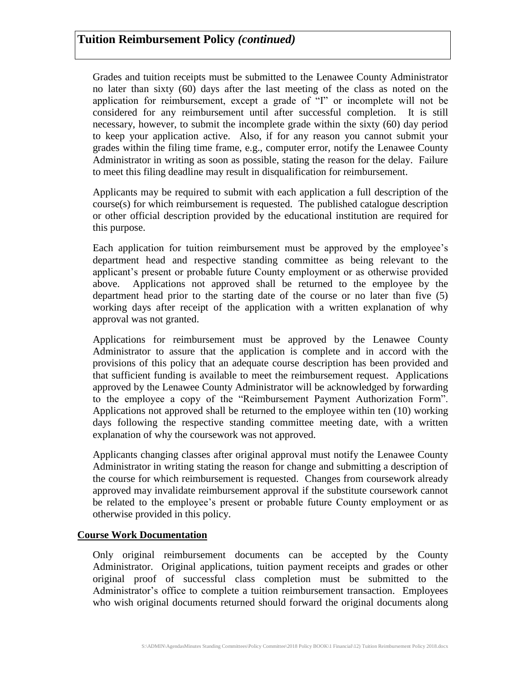Grades and tuition receipts must be submitted to the Lenawee County Administrator no later than sixty (60) days after the last meeting of the class as noted on the application for reimbursement, except a grade of "I" or incomplete will not be considered for any reimbursement until after successful completion. It is still necessary, however, to submit the incomplete grade within the sixty (60) day period to keep your application active. Also, if for any reason you cannot submit your grades within the filing time frame, e.g., computer error, notify the Lenawee County Administrator in writing as soon as possible, stating the reason for the delay. Failure to meet this filing deadline may result in disqualification for reimbursement.

Applicants may be required to submit with each application a full description of the course(s) for which reimbursement is requested. The published catalogue description or other official description provided by the educational institution are required for this purpose.

Each application for tuition reimbursement must be approved by the employee's department head and respective standing committee as being relevant to the applicant's present or probable future County employment or as otherwise provided above. Applications not approved shall be returned to the employee by the department head prior to the starting date of the course or no later than five (5) working days after receipt of the application with a written explanation of why approval was not granted.

Applications for reimbursement must be approved by the Lenawee County Administrator to assure that the application is complete and in accord with the provisions of this policy that an adequate course description has been provided and that sufficient funding is available to meet the reimbursement request. Applications approved by the Lenawee County Administrator will be acknowledged by forwarding to the employee a copy of the "Reimbursement Payment Authorization Form". Applications not approved shall be returned to the employee within ten (10) working days following the respective standing committee meeting date, with a written explanation of why the coursework was not approved.

Applicants changing classes after original approval must notify the Lenawee County Administrator in writing stating the reason for change and submitting a description of the course for which reimbursement is requested. Changes from coursework already approved may invalidate reimbursement approval if the substitute coursework cannot be related to the employee's present or probable future County employment or as otherwise provided in this policy.

# **Course Work Documentation**

Only original reimbursement documents can be accepted by the County Administrator. Original applications, tuition payment receipts and grades or other original proof of successful class completion must be submitted to the Administrator's office to complete a tuition reimbursement transaction. Employees who wish original documents returned should forward the original documents along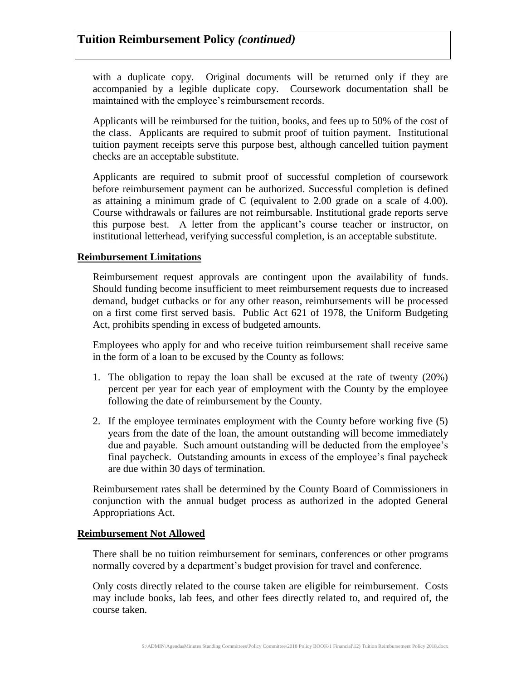with a duplicate copy. Original documents will be returned only if they are accompanied by a legible duplicate copy. Coursework documentation shall be maintained with the employee's reimbursement records.

Applicants will be reimbursed for the tuition, books, and fees up to 50% of the cost of the class. Applicants are required to submit proof of tuition payment. Institutional tuition payment receipts serve this purpose best, although cancelled tuition payment checks are an acceptable substitute.

Applicants are required to submit proof of successful completion of coursework before reimbursement payment can be authorized. Successful completion is defined as attaining a minimum grade of C (equivalent to 2.00 grade on a scale of 4.00). Course withdrawals or failures are not reimbursable. Institutional grade reports serve this purpose best. A letter from the applicant's course teacher or instructor, on institutional letterhead, verifying successful completion, is an acceptable substitute.

# **Reimbursement Limitations**

Reimbursement request approvals are contingent upon the availability of funds. Should funding become insufficient to meet reimbursement requests due to increased demand, budget cutbacks or for any other reason, reimbursements will be processed on a first come first served basis. Public Act 621 of 1978, the Uniform Budgeting Act, prohibits spending in excess of budgeted amounts.

Employees who apply for and who receive tuition reimbursement shall receive same in the form of a loan to be excused by the County as follows:

- 1. The obligation to repay the loan shall be excused at the rate of twenty (20%) percent per year for each year of employment with the County by the employee following the date of reimbursement by the County.
- 2. If the employee terminates employment with the County before working five (5) years from the date of the loan, the amount outstanding will become immediately due and payable. Such amount outstanding will be deducted from the employee's final paycheck. Outstanding amounts in excess of the employee's final paycheck are due within 30 days of termination.

Reimbursement rates shall be determined by the County Board of Commissioners in conjunction with the annual budget process as authorized in the adopted General Appropriations Act.

# **Reimbursement Not Allowed**

There shall be no tuition reimbursement for seminars, conferences or other programs normally covered by a department's budget provision for travel and conference.

Only costs directly related to the course taken are eligible for reimbursement. Costs may include books, lab fees, and other fees directly related to, and required of, the course taken.